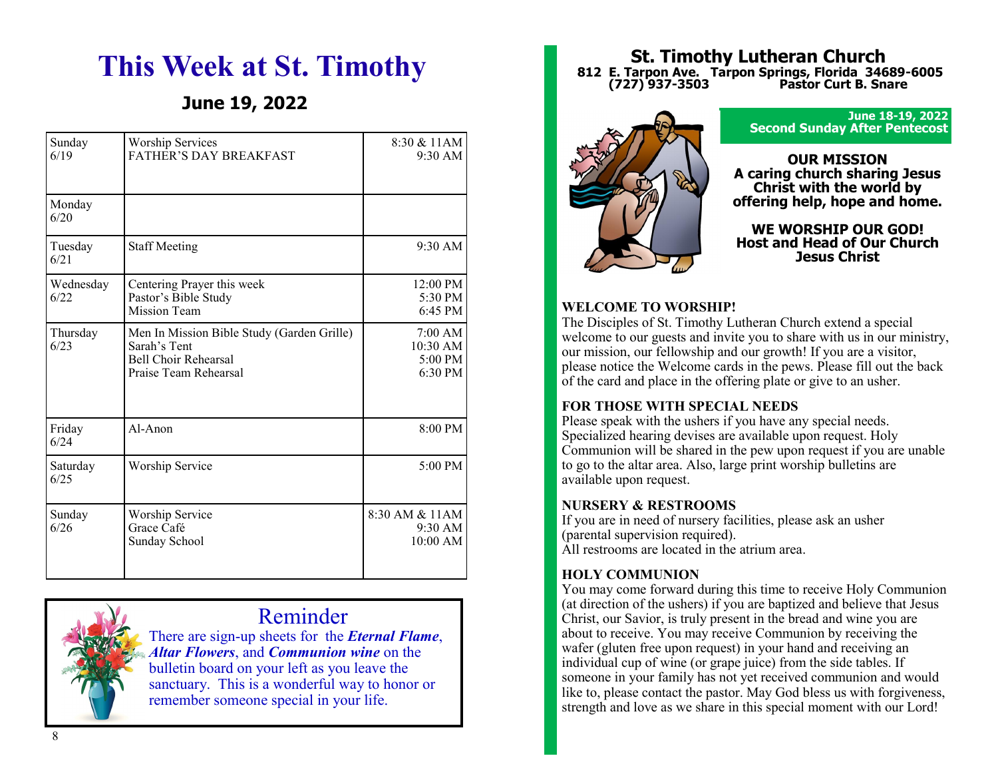# **This Week at St. Timothy**

# **June 19, 2022**

| Sunday<br>6/19    | <b>Worship Services</b><br>FATHER'S DAY BREAKFAST                                                                  | 8:30 & 11AM<br>$9:30$ AM                              |
|-------------------|--------------------------------------------------------------------------------------------------------------------|-------------------------------------------------------|
| Monday<br>6/20    |                                                                                                                    |                                                       |
| Tuesday<br>6/21   | <b>Staff Meeting</b>                                                                                               | $9:30$ AM                                             |
| Wednesday<br>6/22 | Centering Prayer this week<br>Pastor's Bible Study<br>Mission Team                                                 | $12:00 \text{ PM}$<br>5:30 PM<br>$6:45$ PM            |
| Thursday<br>6/23  | Men In Mission Bible Study (Garden Grille)<br>Sarah's Tent<br><b>Bell Choir Rehearsal</b><br>Praise Team Rehearsal | 7:00 AM<br>$10:30$ AM<br>5:00 PM<br>$6:30 \text{ PM}$ |
| Friday<br>6/24    | $Al-A$ non                                                                                                         | 8:00 PM                                               |
| Saturday<br>6/25  | Worship Service                                                                                                    | 5:00 PM                                               |
| Sunday<br>6/26    | Worship Service<br>Grace Café<br>Sunday School                                                                     | 8:30 AM & 11AM<br>9:30 AM<br>10:00 AM                 |



Reminder

There are sign-up sheets for the *Eternal Flame*, *Altar Flowers*, and *Communion wine* on the bulletin board on your left as you leave the sanctuary. This is a wonderful way to honor or remember someone special in your life.

### **St. Timothy Lutheran Church 812 E. Tarpon Ave. Tarpon Springs, Florida 34689-6005 (727) 937-3503 Pastor Curt B. Snare**



**June 18-19, 2022 Second Sunday After Pentecost**

### **OUR MISSION A caring church sharing Jesus Christ with the world by offering help, hope and home.**

**WE WORSHIP OUR GOD! Host and Head of Our Church Jesus Christ**

# **WELCOME TO WORSHIP!**

The Disciples of St. Timothy Lutheran Church extend a special welcome to our guests and invite you to share with us in our ministry, our mission, our fellowship and our growth! If you are a visitor, please notice the Welcome cards in the pews. Please fill out the back of the card and place in the offering plate or give to an usher.

### **FOR THOSE WITH SPECIAL NEEDS**

Please speak with the ushers if you have any special needs. Specialized hearing devises are available upon request. Holy Communion will be shared in the pew upon request if you are unable to go to the altar area. Also, large print worship bulletins are available upon request.

### **NURSERY & RESTROOMS**

If you are in need of nursery facilities, please ask an usher (parental supervision required). All restrooms are located in the atrium area.

### **HOLY COMMUNION**

You may come forward during this time to receive Holy Communion (at direction of the ushers) if you are baptized and believe that Jesus Christ, our Savior, is truly present in the bread and wine you are about to receive. You may receive Communion by receiving the wafer (gluten free upon request) in your hand and receiving an individual cup of wine (or grape juice) from the side tables. If someone in your family has not yet received communion and would like to, please contact the pastor. May God bless us with forgiveness, strength and love as we share in this special moment with our Lord!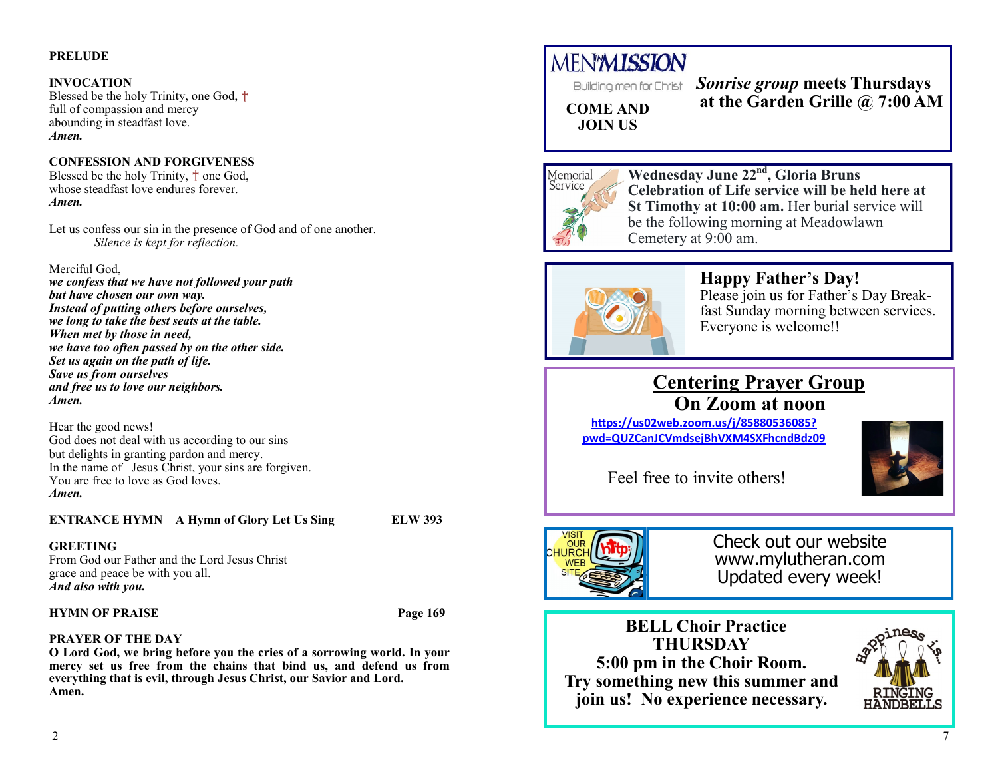### **PRELUDE**

### **INVOCATION**

Blessed be the holy Trinity, one God,  $\dagger$ full of compassion and mercy abounding in steadfast love. *Amen.*

### **CONFESSION AND FORGIVENESS**

Blessed be the holy Trinity,  $\dagger$  one God, whose steadfast love endures forever. *Amen.*

Let us confess our sin in the presence of God and of one another. *Silence is kept for reflection.*

#### Merciful God,

*we confess that we have not followed your path but have chosen our own way. Instead of putting others before ourselves, we long to take the best seats at the table. When met by those in need, we have too often passed by on the other side. Set us again on the path of life. Save us from ourselves and free us to love our neighbors. Amen.*

Hear the good news! God does not deal with us according to our sins but delights in granting pardon and mercy. In the name of Jesus Christ, your sins are forgiven. You are free to love as God loves. *Amen.*

### **ENTRANCE HYMN A Hymn of Glory Let Us Sing ELW 393**

#### **GREETING**

From God our Father and the Lord Jesus Christ grace and peace be with you all. *And also with you.*

### **HYMN OF PRAISE Page 169**

# **PRAYER OF THE DAY**

**O Lord God, we bring before you the cries of a sorrowing world. In your mercy set us free from the chains that bind us, and defend us from everything that is evil, through Jesus Christ, our Savior and Lord. Amen.**

# **MENMISSION**

*Sonrise group* **meets Thursdays at the Garden Grille @ 7:00 AM**

**COME AND JOIN US**



**Wednesday June 22nd, Gloria Bruns Celebration of Life service will be held here at St Timothy at 10:00 am.** Her burial service will be the following morning at Meadowlawn Cemetery at 9:00 am.



# **Happy Father's Day!**

Please join us for Father's Day Breakfast Sunday morning between services. Everyone is welcome!!

# **Centering Prayer Group On Zoom at noon**

**[https://us02web.zoom.us/j/85880536085?](https://us02web.zoom.us/j/85880536085?pwd=QUZCanJCVmdsejBhVXM4SXFhcndBdz09) [pwd=QUZCanJCVmdsejBhVXM4SXFhcndBdz09](https://us02web.zoom.us/j/85880536085?pwd=QUZCanJCVmdsejBhVXM4SXFhcndBdz09)**



Feel free to invite others!



Check out our website www.mylutheran.com Updated every week!

 **BELL Choir Practice THURSDAY 5:00 pm in the Choir Room. Try something new this summer and join us! No experience necessary.**

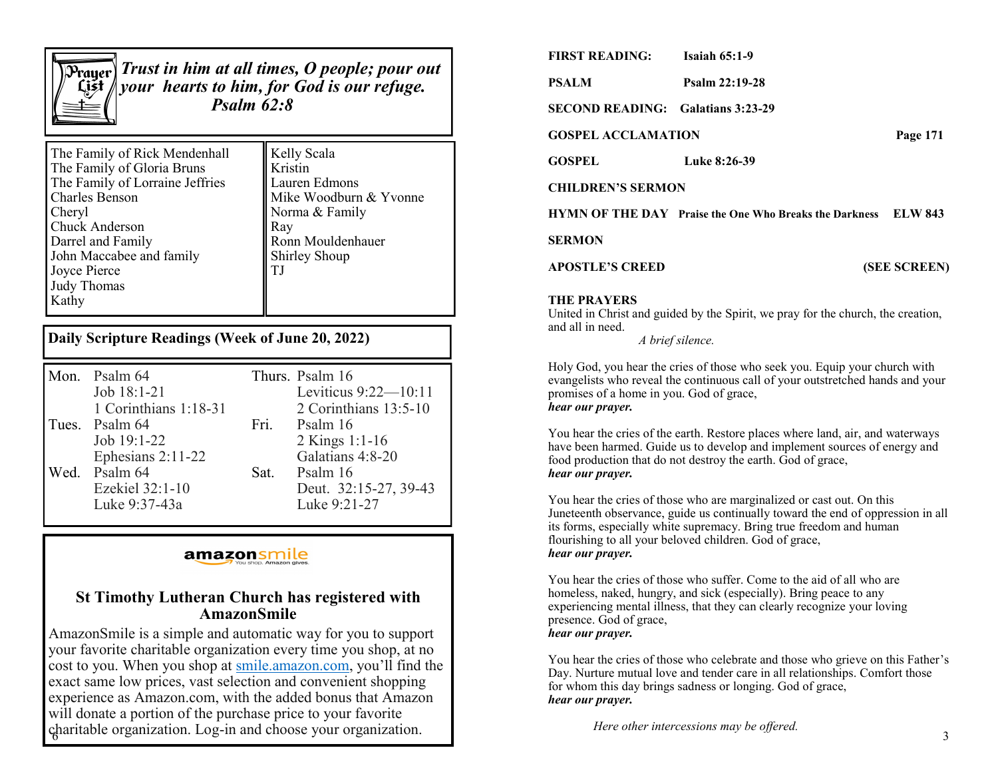

*Trust in him at all times, O people; pour out your hearts to him, for God is our refuge. Psalm 62:8*

| The Family of Rick Mendenhall                                                         | <b>Kelly Scala</b>                              |  |
|---------------------------------------------------------------------------------------|-------------------------------------------------|--|
| The Family of Gloria Bruns                                                            | Kristin                                         |  |
| The Family of Lorraine Jeffries                                                       | Lauren Edmons                                   |  |
| <b>Charles Benson</b>                                                                 | Mike Woodburn & Yvonne                          |  |
| Cheryl                                                                                | Norma & Family                                  |  |
| Chuck Anderson                                                                        | $\parallel$ Ray                                 |  |
| Darrel and Family<br>John Maccabee and family<br>Joyce Pierce<br>Judy Thomas<br>Kathy | Ronn Mouldenhauer<br><b>Shirley Shoup</b><br>T. |  |

### **Daily Scripture Readings (Week of June 20, 2022)**

| Mon. Psalm 64         |      | Thurs. Psalm 16        |
|-----------------------|------|------------------------|
| Job 18:1-21           |      | Leviticus $9:22-10:11$ |
| 1 Corinthians 1:18-31 |      | 2 Corinthians 13:5-10  |
| Tues. Psalm 64        | Fri. | Psalm 16               |
| Job 19:1-22           |      | 2 Kings 1:1-16         |
| Ephesians 2:11-22     |      | Galatians 4:8-20       |
| Wed. Psalm 64         | Sat. | Psalm 16               |
| Ezekiel 32:1-10       |      | Deut. 32:15-27, 39-43  |
| Luke 9:37-43a         |      | Luke 9:21-27           |

# amazonsmile

### **St Timothy Lutheran Church has registered with AmazonSmile**

charitable organization. Log-in and choose your organization. Here other intercessions may be offered. AmazonSmile is a simple and automatic way for you to support your favorite charitable organization every time you shop, at no cost to you. When you shop at [smile.amazon.com,](https://smile.amazon.com/) you'll find the exact same low prices, vast selection and convenient shopping experience as Amazon.com, with the added bonus that Amazon will donate a portion of the purchase price to your favorite

| PSALM                                    | Psalm 22:19-28                                                        |              |
|------------------------------------------|-----------------------------------------------------------------------|--------------|
| <b>SECOND READING:</b> Galatians 3:23-29 |                                                                       |              |
| <b>GOSPEL ACCLAMATION</b>                |                                                                       | Page 171     |
| GOSPEL                                   | Luke 8:26-39                                                          |              |
| <b>CHILDREN'S SERMON</b>                 |                                                                       |              |
|                                          | <b>HYMN OF THE DAY</b> Praise the One Who Breaks the Darkness ELW 843 |              |
| <b>SERMON</b>                            |                                                                       |              |
| <b>APOSTLE'S CREED</b>                   |                                                                       | (SEE SCREEN) |
| <b>THE PRAYERS</b>                       |                                                                       |              |

### **THE PRAYERS**

United in Christ and guided by the Spirit, we pray for the church, the creation, and all in need.

*A brief silence.*

**FIRST READING: Isaiah 65:1-9** 

Holy God, you hear the cries of those who seek you. Equip your church with evangelists who reveal the continuous call of your outstretched hands and your promises of a home in you. God of grace, *hear our prayer.*

You hear the cries of the earth. Restore places where land, air, and waterways have been harmed. Guide us to develop and implement sources of energy and food production that do not destroy the earth. God of grace, *hear our prayer.*

You hear the cries of those who are marginalized or cast out. On this Juneteenth observance, guide us continually toward the end of oppression in all its forms, especially white supremacy. Bring true freedom and human flourishing to all your beloved children. God of grace, *hear our prayer.*

You hear the cries of those who suffer. Come to the aid of all who are homeless, naked, hungry, and sick (especially). Bring peace to any experiencing mental illness, that they can clearly recognize your loving presence. God of grace, *hear our prayer.*

You hear the cries of those who celebrate and those who grieve on this Father's Day. Nurture mutual love and tender care in all relationships. Comfort those for whom this day brings sadness or longing. God of grace, *hear our prayer.*

*Here other intercessions may be offered.*